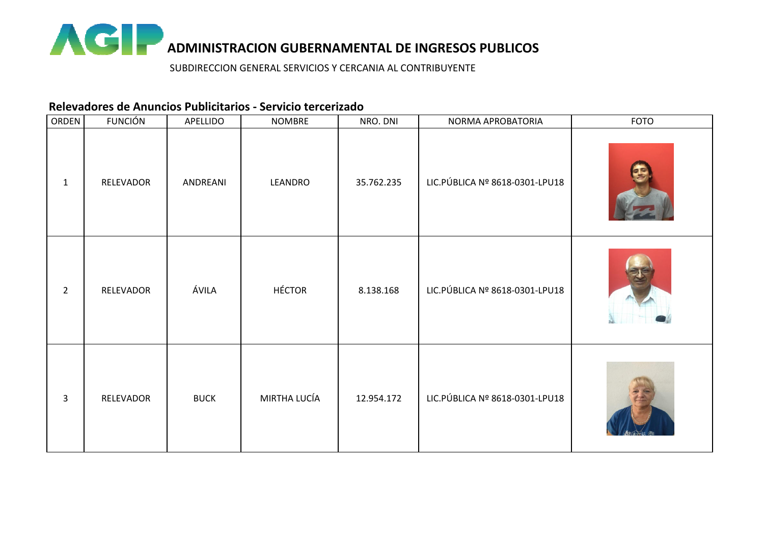

## **Relevadores de Anuncios Publicitarios - Servicio tercerizado**

| ORDEN          | <b>FUNCIÓN</b> | APELLIDO    | <b>NOMBRE</b> | NRO. DNI   | NORMA APROBATORIA               | FOTO |
|----------------|----------------|-------------|---------------|------------|---------------------------------|------|
| $\mathbf{1}$   | RELEVADOR      | ANDREANI    | LEANDRO       | 35.762.235 | LIC. PÚBLICA Nº 8618-0301-LPU18 |      |
| $\overline{2}$ | RELEVADOR      | ÁVILA       | <b>HÉCTOR</b> | 8.138.168  | LIC. PÚBLICA Nº 8618-0301-LPU18 |      |
| $\overline{3}$ | RELEVADOR      | <b>BUCK</b> | MIRTHA LUCÍA  | 12.954.172 | LIC. PÚBLICA Nº 8618-0301-LPU18 |      |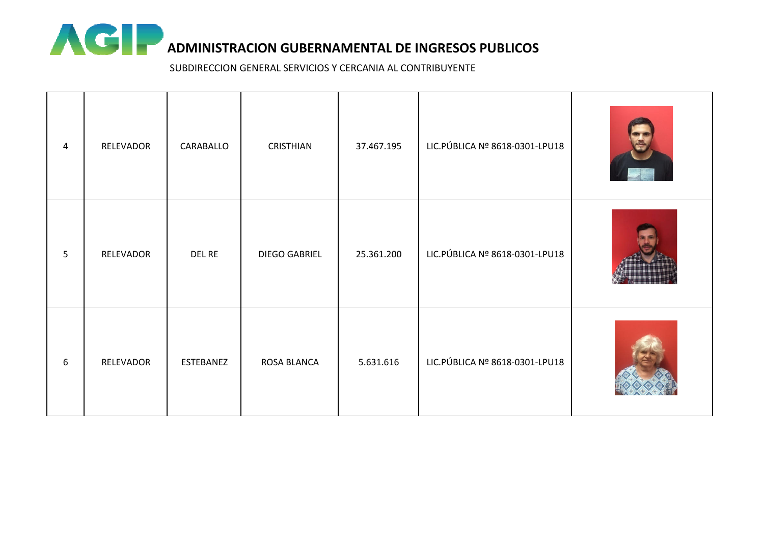

| 4 | RELEVADOR | CARABALLO | CRISTHIAN            | 37.467.195 | LIC. PÚBLICA Nº 8618-0301-LPU18 |  |
|---|-----------|-----------|----------------------|------------|---------------------------------|--|
| 5 | RELEVADOR | DEL RE    | <b>DIEGO GABRIEL</b> | 25.361.200 | LIC.PÚBLICA Nº 8618-0301-LPU18  |  |
| 6 | RELEVADOR | ESTEBANEZ | ROSA BLANCA          | 5.631.616  | LIC.PÚBLICA Nº 8618-0301-LPU18  |  |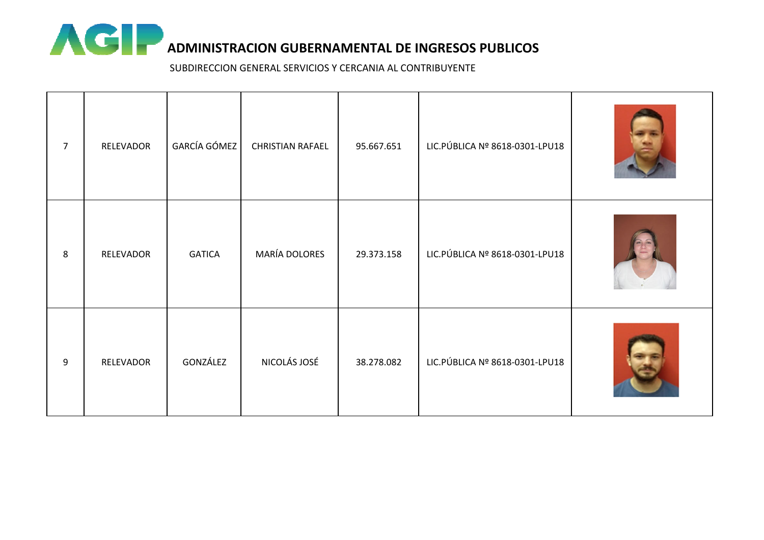

| $\overline{7}$ | RELEVADOR | GARCÍA GÓMEZ  | <b>CHRISTIAN RAFAEL</b> | 95.667.651 | LIC. PÚBLICA Nº 8618-0301-LPU18 |  |
|----------------|-----------|---------------|-------------------------|------------|---------------------------------|--|
| 8              | RELEVADOR | <b>GATICA</b> | MARÍA DOLORES           | 29.373.158 | LIC. PÚBLICA Nº 8618-0301-LPU18 |  |
| 9              | RELEVADOR | GONZÁLEZ      | NICOLÁS JOSÉ            | 38.278.082 | LIC. PÚBLICA Nº 8618-0301-LPU18 |  |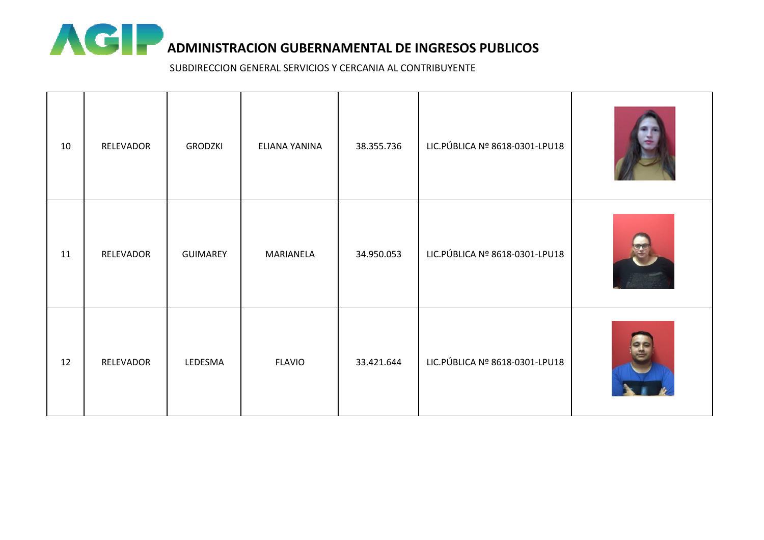

| 10 | RELEVADOR | <b>GRODZKI</b>  | ELIANA YANINA | 38.355.736 | LIC.PÚBLICA Nº 8618-0301-LPU18  |  |
|----|-----------|-----------------|---------------|------------|---------------------------------|--|
| 11 | RELEVADOR | <b>GUIMAREY</b> | MARIANELA     | 34.950.053 | LIC. PÚBLICA Nº 8618-0301-LPU18 |  |
| 12 | RELEVADOR | LEDESMA         | <b>FLAVIO</b> | 33.421.644 | LIC.PÚBLICA Nº 8618-0301-LPU18  |  |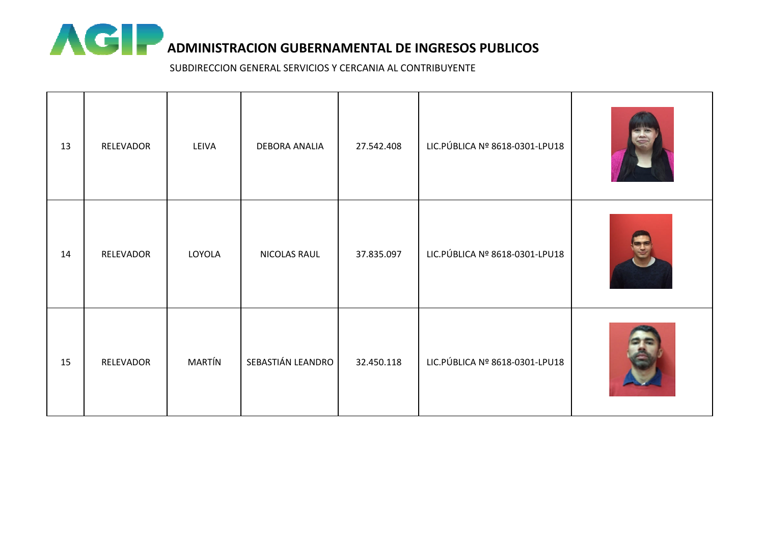

| 13 | RELEVADOR | LEIVA  | DEBORA ANALIA     | 27.542.408 | LIC. PÚBLICA Nº 8618-0301-LPU18 |  |
|----|-----------|--------|-------------------|------------|---------------------------------|--|
| 14 | RELEVADOR | LOYOLA | NICOLAS RAUL      | 37.835.097 | LIC. PÚBLICA Nº 8618-0301-LPU18 |  |
| 15 | RELEVADOR | MARTÍN | SEBASTIÁN LEANDRO | 32.450.118 | LIC. PÚBLICA Nº 8618-0301-LPU18 |  |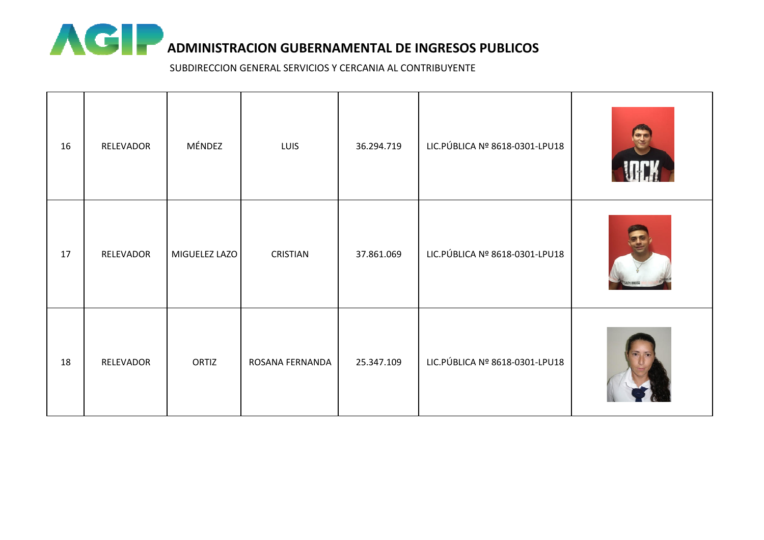

| 16 | RELEVADOR | MÉNDEZ        | LUIS            | 36.294.719 | LIC. PÚBLICA Nº 8618-0301-LPU18 |  |
|----|-----------|---------------|-----------------|------------|---------------------------------|--|
| 17 | RELEVADOR | MIGUELEZ LAZO | CRISTIAN        | 37.861.069 | LIC.PÚBLICA Nº 8618-0301-LPU18  |  |
| 18 | RELEVADOR | ORTIZ         | ROSANA FERNANDA | 25.347.109 | LIC. PÚBLICA Nº 8618-0301-LPU18 |  |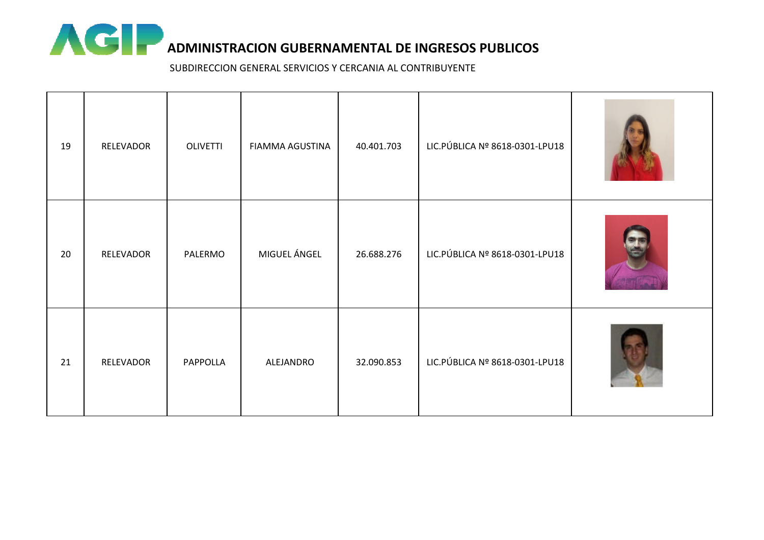

| 19 | RELEVADOR | OLIVETTI | FIAMMA AGUSTINA | 40.401.703 | LIC. PÚBLICA Nº 8618-0301-LPU18 |  |
|----|-----------|----------|-----------------|------------|---------------------------------|--|
| 20 | RELEVADOR | PALERMO  | MIGUEL ÁNGEL    | 26.688.276 | LIC. PÚBLICA Nº 8618-0301-LPU18 |  |
| 21 | RELEVADOR | PAPPOLLA | ALEJANDRO       | 32.090.853 | LIC. PÚBLICA Nº 8618-0301-LPU18 |  |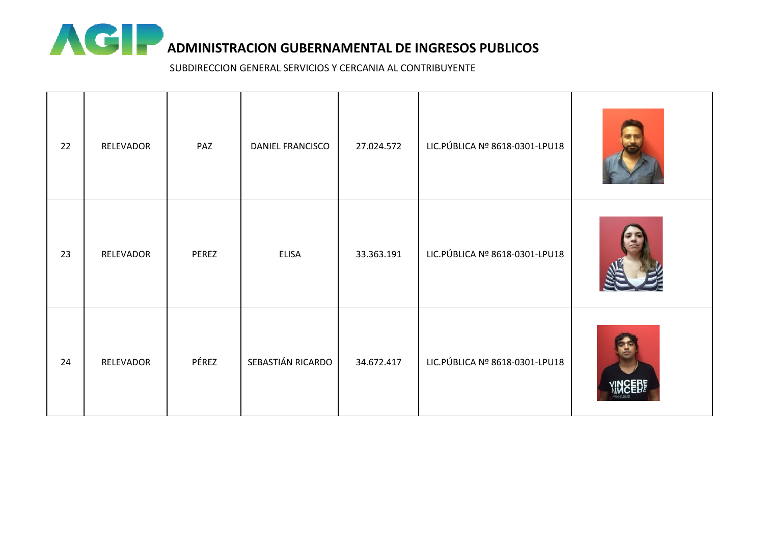

| 22 | RELEVADOR | PAZ   | DANIEL FRANCISCO  | 27.024.572 | LIC. PÚBLICA Nº 8618-0301-LPU18 |  |
|----|-----------|-------|-------------------|------------|---------------------------------|--|
| 23 | RELEVADOR | PEREZ | ELISA             | 33.363.191 | LIC. PÚBLICA Nº 8618-0301-LPU18 |  |
| 24 | RELEVADOR | PÉREZ | SEBASTIÁN RICARDO | 34.672.417 | LIC. PÚBLICA Nº 8618-0301-LPU18 |  |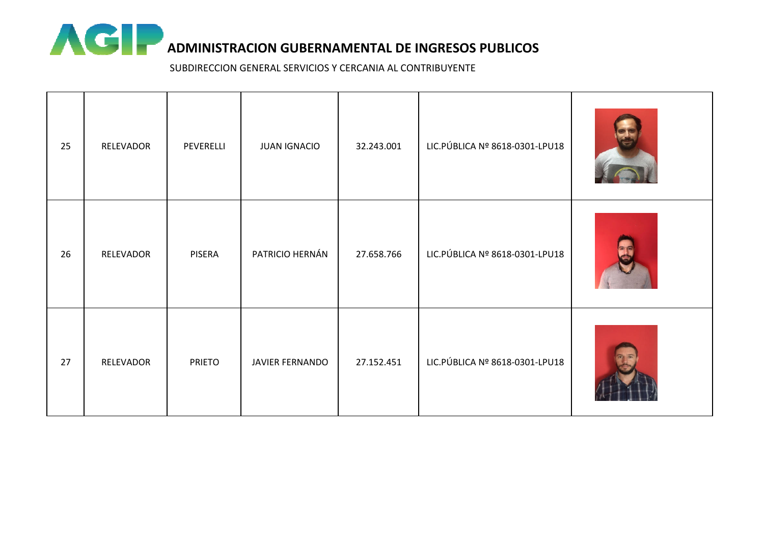

| 25 | RELEVADOR | PEVERELLI     | <b>JUAN IGNACIO</b> | 32.243.001 | LIC. PÚBLICA Nº 8618-0301-LPU18 |  |
|----|-----------|---------------|---------------------|------------|---------------------------------|--|
| 26 | RELEVADOR | PISERA        | PATRICIO HERNÁN     | 27.658.766 | LIC. PÚBLICA Nº 8618-0301-LPU18 |  |
| 27 | RELEVADOR | <b>PRIETO</b> | JAVIER FERNANDO     | 27.152.451 | LIC. PÚBLICA Nº 8618-0301-LPU18 |  |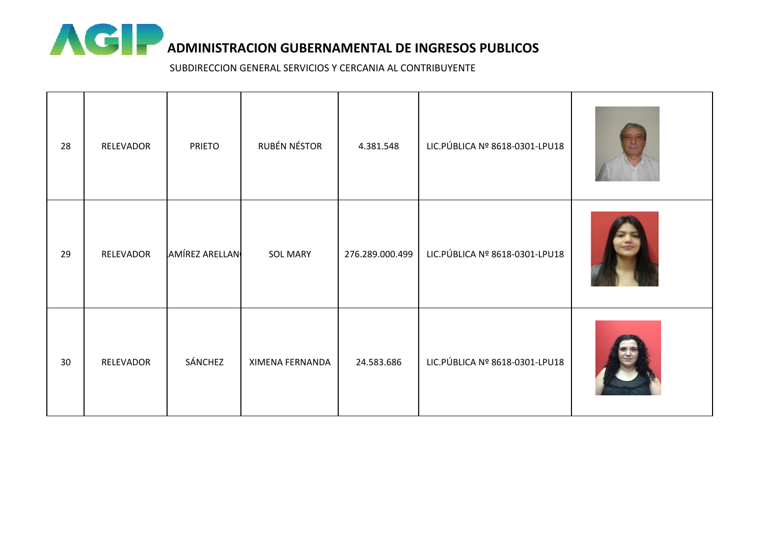

| 28 | RELEVADOR | <b>PRIETO</b>  | RUBÉN NÉSTOR    | 4.381.548       | LIC. PÚBLICA Nº 8618-0301-LPU18 |  |
|----|-----------|----------------|-----------------|-----------------|---------------------------------|--|
| 29 | RELEVADOR | AMÍREZ ARELLAN | <b>SOL MARY</b> | 276.289.000.499 | LIC. PÚBLICA Nº 8618-0301-LPU18 |  |
| 30 | RELEVADOR | SÁNCHEZ        | XIMENA FERNANDA | 24.583.686      | LIC. PÚBLICA Nº 8618-0301-LPU18 |  |